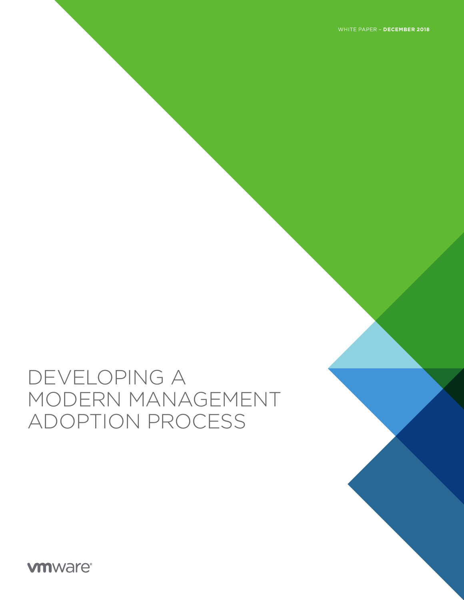WHITE PAPER – **DECEMBER 2018**

# DEVELOPING A MODERN MANAGEMENT ADOPTION PROCESS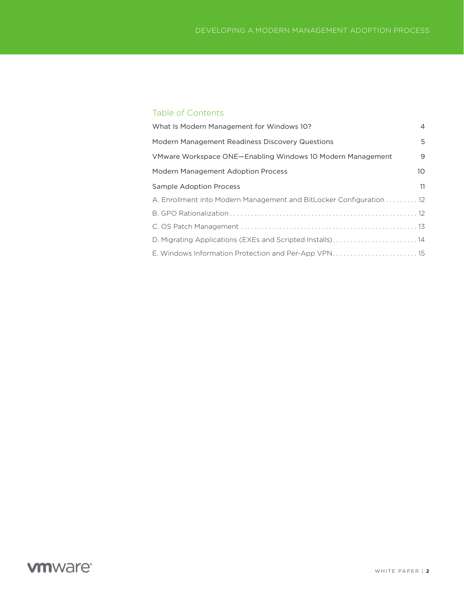### Table of Contents

| What Is Modern Management for Windows 10?                           | 4               |
|---------------------------------------------------------------------|-----------------|
| Modern Management Readiness Discovery Questions                     | 5               |
| VMware Workspace ONE-Enabling Windows 10 Modern Management          | 9               |
| Modern Management Adoption Process                                  | 10 <sup>°</sup> |
| <b>Sample Adoption Process</b>                                      | 11              |
| A. Enrollment into Modern Management and BitLocker Configuration 12 |                 |
|                                                                     |                 |
|                                                                     |                 |
| D. Migrating Applications (EXEs and Scripted Installs)14            |                 |
| E. Windows Information Protection and Per-App VPN 15                |                 |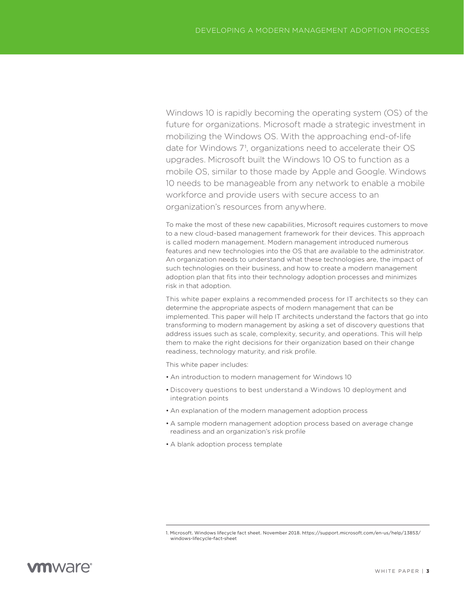Windows 10 is rapidly becoming the operating system (OS) of the future for organizations. Microsoft made a strategic investment in mobilizing the Windows OS. With the approaching end-of-life date for Windows 71, organizations need to accelerate their OS upgrades. Microsoft built the Windows 10 OS to function as a mobile OS, similar to those made by Apple and Google. Windows 10 needs to be manageable from any network to enable a mobile workforce and provide users with secure access to an organization's resources from anywhere.

To make the most of these new capabilities, Microsoft requires customers to move to a new cloud-based management framework for their devices. This approach is called modern management. Modern management introduced numerous features and new technologies into the OS that are available to the administrator. An organization needs to understand what these technologies are, the impact of such technologies on their business, and how to create a modern management adoption plan that fits into their technology adoption processes and minimizes risk in that adoption.

This white paper explains a recommended process for IT architects so they can determine the appropriate aspects of modern management that can be implemented. This paper will help IT architects understand the factors that go into transforming to modern management by asking a set of discovery questions that address issues such as scale, complexity, security, and operations. This will help them to make the right decisions for their organization based on their change readiness, technology maturity, and risk profile.

This white paper includes:

- An introduction to modern management for Windows 10
- Discovery questions to best understand a Windows 10 deployment and integration points
- An explanation of the modern management adoption process
- A sample modern management adoption process based on average change readiness and an organization's risk profile
- A blank adoption process template

<sup>1.</sup> Microsoft. Windows lifecycle fact sheet. November 2018. https://support.microsoft.com/en-us/help/13853/ windows-lifecycle-fact-sheet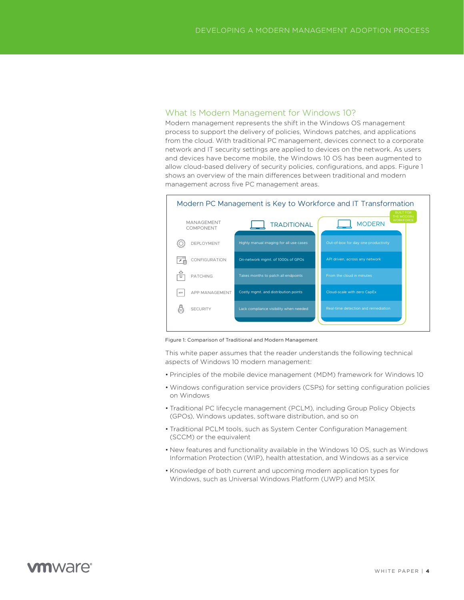### <span id="page-3-0"></span>What Is Modern Management for Windows 10?

Modern management represents the shift in the Windows OS management process to support the delivery of policies, Windows patches, and applications from the cloud. With traditional PC management, devices connect to a corporate network and IT security settings are applied to devices on the network. As users and devices have become mobile, the Windows 10 OS has been augmented to allow cloud-based delivery of security policies, configurations, and apps. Figure 1 shows an overview of the main differences between traditional and modern management across five PC management areas.



Figure 1: Comparison of Traditional and Modern Management

This white paper assumes that the reader understands the following technical aspects of Windows 10 modern management:

- Principles of the mobile device management (MDM) framework for Windows 10
- Windows configuration service providers (CSPs) for setting configuration policies on Windows
- Traditional PC lifecycle management (PCLM), including Group Policy Objects (GPOs), Windows updates, software distribution, and so on
- Traditional PCLM tools, such as System Center Configuration Management (SCCM) or the equivalent
- New features and functionality available in the Windows 10 OS, such as Windows Information Protection (WIP), health attestation, and Windows as a service
- Knowledge of both current and upcoming modern application types for Windows, such as Universal Windows Platform (UWP) and MSIX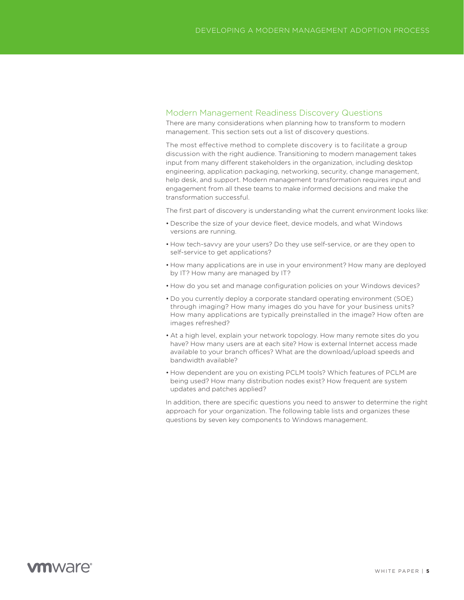#### <span id="page-4-0"></span>Modern Management Readiness Discovery Questions

There are many considerations when planning how to transform to modern management. This section sets out a list of discovery questions.

The most effective method to complete discovery is to facilitate a group discussion with the right audience. Transitioning to modern management takes input from many different stakeholders in the organization, including desktop engineering, application packaging, networking, security, change management, help desk, and support. Modern management transformation requires input and engagement from all these teams to make informed decisions and make the transformation successful.

The first part of discovery is understanding what the current environment looks like:

- Describe the size of your device fleet, device models, and what Windows versions are running.
- How tech-savvy are your users? Do they use self-service, or are they open to self-service to get applications?
- How many applications are in use in your environment? How many are deployed by IT? How many are managed by IT?
- How do you set and manage configuration policies on your Windows devices?
- Do you currently deploy a corporate standard operating environment (SOE) through imaging? How many images do you have for your business units? How many applications are typically preinstalled in the image? How often are images refreshed?
- At a high level, explain your network topology. How many remote sites do you have? How many users are at each site? How is external Internet access made available to your branch offices? What are the download/upload speeds and bandwidth available?
- How dependent are you on existing PCLM tools? Which features of PCLM are being used? How many distribution nodes exist? How frequent are system updates and patches applied?

In addition, there are specific questions you need to answer to determine the right approach for your organization. The following table lists and organizes these questions by seven key components to Windows management.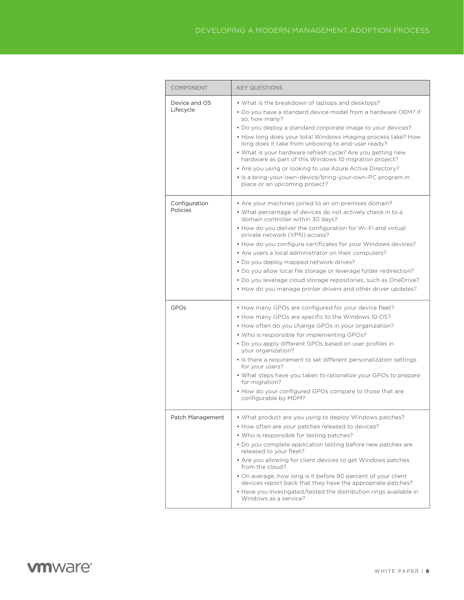| <b>COMPONENT</b>           | <b>KEY QUESTIONS</b>                                                                                                                                                                                                                                                                                                                                                                                                                                                                                                                                                                                                                  |
|----------------------------|---------------------------------------------------------------------------------------------------------------------------------------------------------------------------------------------------------------------------------------------------------------------------------------------------------------------------------------------------------------------------------------------------------------------------------------------------------------------------------------------------------------------------------------------------------------------------------------------------------------------------------------|
| Device and OS<br>Lifecycle | • What is the breakdown of laptops and desktops?<br>• Do you have a standard device model from a hardware OEM? If<br>so, how many?<br>• Do you deploy a standard corporate image to your devices?<br>• How long does your total Windows imaging process take? How<br>long does it take from unboxing to end-user ready?<br>• What is your hardware refresh cycle? Are you getting new<br>hardware as part of this Windows 10 migration project?<br>• Are you using or looking to use Azure Active Directory?<br>• Is a bring-your-own-device/bring-your-own-PC program in<br>place or an upcoming project?                            |
| Configuration<br>Policies  | • Are your machines joined to an on-premises domain?<br>• What percentage of devices do not actively check in to a<br>domain controller within 30 days?<br>• How do you deliver the configuration for Wi-Fi and virtual<br>private network (VPN) access?<br>• How do you configure certificates for your Windows devices?<br>• Are users a local administrator on their computers?<br>• Do you deploy mapped network drives?<br>. Do you allow local file storage or leverage folder redirection?<br>• Do you leverage cloud storage repositories, such as OneDrive?<br>• How do you manage printer drivers and other driver updates? |
| GPOs                       | • How many GPOs are configured for your device fleet?<br>• How many GPOs are specific to the Windows 10 OS?<br>• How often do you change GPOs in your organization?<br>• Who is responsible for implementing GPOs?<br>• Do you apply different GPOs based on user profiles in<br>your organization?<br>• Is there a requirement to set different personalization settings<br>for your users?<br>• What steps have you taken to rationalize your GPOs to prepare<br>for migration?<br>• How do your configured GPOs compare to those that are<br>configurable by MDM?                                                                  |
| Patch Management           | • What product are you using to deploy Windows patches?<br>• How often are your patches released to devices?<br>• Who is responsible for testing patches?<br>• Do you complete application testing before new patches are<br>released to your fleet?<br>• Are you allowing for client devices to get Windows patches<br>from the cloud?<br>• On average, how long is it before 90 percent of your client<br>devices report back that they have the appropriate patches?<br>• Have you investigated/tested the distribution rings available in<br>Windows as a service?                                                                |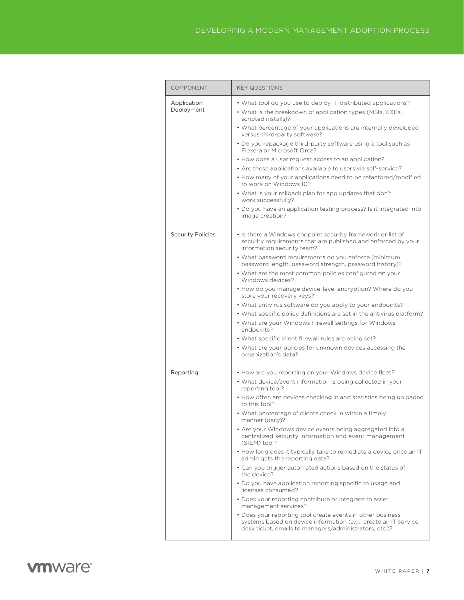| <b>COMPONENT</b>          | <b>KEY QUESTIONS</b>                                                                                                                                                                                                                                                                                                                                                                                                                                                                                                                                                                                                                                                                                                                                                                                                                                                                                                                                                                               |
|---------------------------|----------------------------------------------------------------------------------------------------------------------------------------------------------------------------------------------------------------------------------------------------------------------------------------------------------------------------------------------------------------------------------------------------------------------------------------------------------------------------------------------------------------------------------------------------------------------------------------------------------------------------------------------------------------------------------------------------------------------------------------------------------------------------------------------------------------------------------------------------------------------------------------------------------------------------------------------------------------------------------------------------|
| Application<br>Deployment | • What tool do you use to deploy IT-distributed applications?<br>• What is the breakdown of application types (MSIs, EXEs,<br>scripted installs)?<br>• What percentage of your applications are internally developed<br>versus third-party software?<br>• Do you repackage third-party software using a tool such as<br>Flexera or Microsoft Orca?<br>• How does a user request access to an application?<br>• Are these applications available to users via self-service?<br>• How many of your applications need to be refactored/modified<br>to work on Windows 10?<br>• What is your rollback plan for app updates that don't<br>work successfully?<br>• Do you have an application testing process? Is it integrated into<br>image creation?                                                                                                                                                                                                                                                  |
| <b>Security Policies</b>  | • Is there a Windows endpoint security framework or list of<br>security requirements that are published and enforced by your<br>information security team?<br>• What password requirements do you enforce (minimum<br>password length, password strength, password history)?<br>• What are the most common policies configured on your<br>Windows devices?<br>• How do you manage device-level encryption? Where do you<br>store your recovery keys?<br>• What antivirus software do you apply to your endpoints?<br>• What specific policy definitions are set in the antivirus platform?<br>• What are your Windows Firewall settings for Windows<br>endpoints?<br>• What specific client firewall rules are being set?<br>• What are your policies for unknown devices accessing the<br>organization's data?                                                                                                                                                                                    |
| Reporting                 | • How are you reporting on your Windows device fleet?<br>• What device/event information is being collected in your<br>reporting tool?<br>• How often are devices checking in and statistics being uploaded<br>to this tool?<br>• What percentage of clients check in within a timely<br>manner (daily)?<br>• Are your Windows device events being aggregated into a<br>centralized security information and event management<br>(SIEM) tool?<br>• How long does it typically take to remediate a device once an IT<br>admin gets the reporting data?<br>• Can you trigger automated actions based on the status of<br>the device?<br>• Do you have application reporting specific to usage and<br>licenses consumed?<br>• Does your reporting contribute or integrate to asset<br>management services?<br>• Does your reporting tool create events in other business<br>systems based on device information (e.g., create an IT service<br>desk ticket, emails to managers/administrators, etc.)? |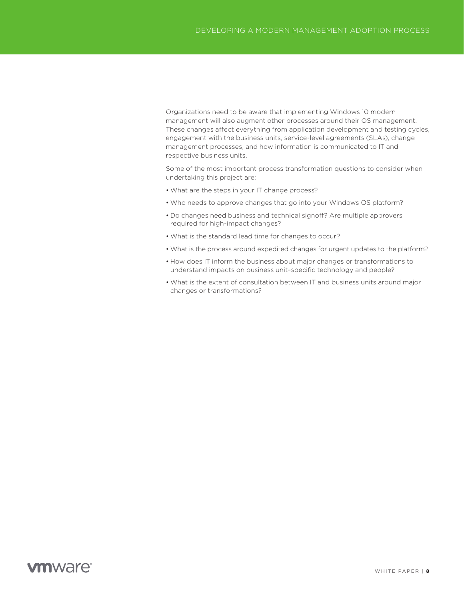Organizations need to be aware that implementing Windows 10 modern management will also augment other processes around their OS management. These changes affect everything from application development and testing cycles, engagement with the business units, service-level agreements (SLAs), change management processes, and how information is communicated to IT and respective business units.

Some of the most important process transformation questions to consider when undertaking this project are:

- What are the steps in your IT change process?
- Who needs to approve changes that go into your Windows OS platform?
- Do changes need business and technical signoff? Are multiple approvers required for high-impact changes?
- What is the standard lead time for changes to occur?
- What is the process around expedited changes for urgent updates to the platform?
- How does IT inform the business about major changes or transformations to understand impacts on business unit–specific technology and people?
- What is the extent of consultation between IT and business units around major changes or transformations?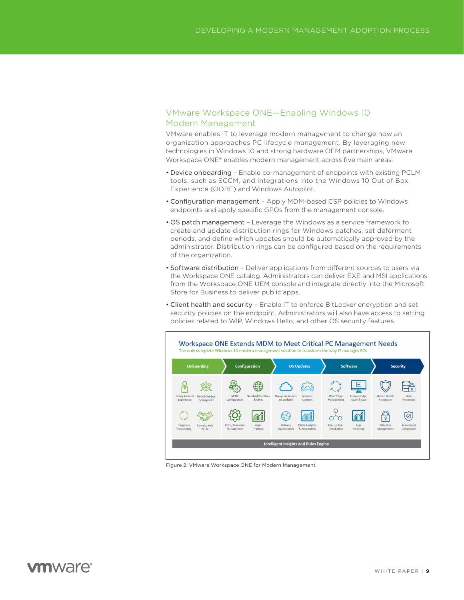### <span id="page-8-0"></span>VMware Workspace ONE—Enabling Windows 10 Modern Management

VMware enables IT to leverage modern management to change how an organization approaches PC lifecycle management. By leveraging new technologies in Windows 10 and strong hardware OEM partnerships, VMware Workspace ONE® enables modern management across five main areas:

- Device onboarding Enable co-management of endpoints with existing PCLM tools, such as SCCM, and integrations into the Windows 10 Out of Box Experience (OOBE) and Windows Autopilot.
- Configuration management Apply MDM-based CSP policies to Windows endpoints and apply specific GPOs from the management console.
- OS patch management Leverage the Windows as a service framework to create and update distribution rings for Windows patches, set deferment periods, and define which updates should be automatically approved by the administrator. Distribution rings can be configured based on the requirements of the organization.
- Software distribution Deliver applications from different sources to users via the Workspace ONE catalog. Administrators can deliver EXE and MSI applications from the Workspace ONE UEM console and integrate directly into the Microsoft Store for Business to deliver public apps.
- Client health and security Enable IT to enforce BitLocker encryption and set security policies on the endpoint. Administrators will also have access to setting policies related to WIP, Windows Hello, and other OS security features.



Figure 2: VMware Workspace ONE for Modern Management

### mware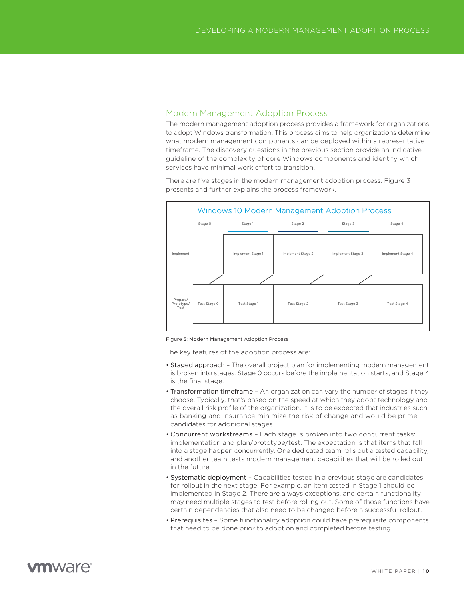#### <span id="page-9-0"></span>Modern Management Adoption Process

The modern management adoption process provides a framework for organizations to adopt Windows transformation. This process aims to help organizations determine what modern management components can be deployed within a representative timeframe. The discovery questions in the previous section provide an indicative guideline of the complexity of core Windows components and identify which services have minimal work effort to transition.

There are five stages in the modern management adoption process. Figure 3 presents and further explains the process framework.



Figure 3: Modern Management Adoption Process

The key features of the adoption process are:

- Staged approach The overall project plan for implementing modern management is broken into stages. Stage 0 occurs before the implementation starts, and Stage 4 is the final stage.
- Transformation timeframe An organization can vary the number of stages if they choose. Typically, that's based on the speed at which they adopt technology and the overall risk profile of the organization. It is to be expected that industries such as banking and insurance minimize the risk of change and would be prime candidates for additional stages.
- Concurrent workstreams Each stage is broken into two concurrent tasks: implementation and plan/prototype/test. The expectation is that items that fall into a stage happen concurrently. One dedicated team rolls out a tested capability, and another team tests modern management capabilities that will be rolled out in the future.
- Systematic deployment Capabilities tested in a previous stage are candidates for rollout in the next stage. For example, an item tested in Stage 1 should be implemented in Stage 2. There are always exceptions, and certain functionality may need multiple stages to test before rolling out. Some of those functions have certain dependencies that also need to be changed before a successful rollout.
- Prerequisites Some functionality adoption could have prerequisite components that need to be done prior to adoption and completed before testing.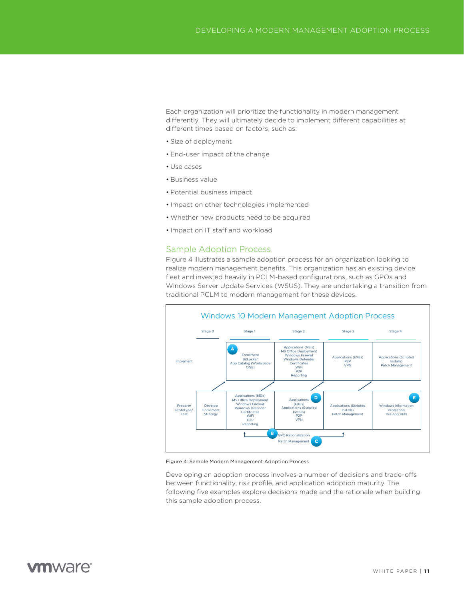<span id="page-10-0"></span>Each organization will prioritize the functionality in modern management differently. They will ultimately decide to implement different capabilities at different times based on factors, such as:

- Size of deployment
- End-user impact of the change
- Use cases
- Business value
- Potential business impact
- Impact on other technologies implemented
- Whether new products need to be acquired
- Impact on IT staff and workload

#### Sample Adoption Process

Figure 4 illustrates a sample adoption process for an organization looking to realize modern management benefits. This organization has an existing device fleet and invested heavily in PCLM-based configurations, such as GPOs and Windows Server Update Services (WSUS). They are undertaking a transition from traditional PCLM to modern management for these devices.



Figure 4: Sample Modern Management Adoption Process

Developing an adoption process involves a number of decisions and trade-offs between functionality, risk profile, and application adoption maturity. The following five examples explore decisions made and the rationale when building this sample adoption process.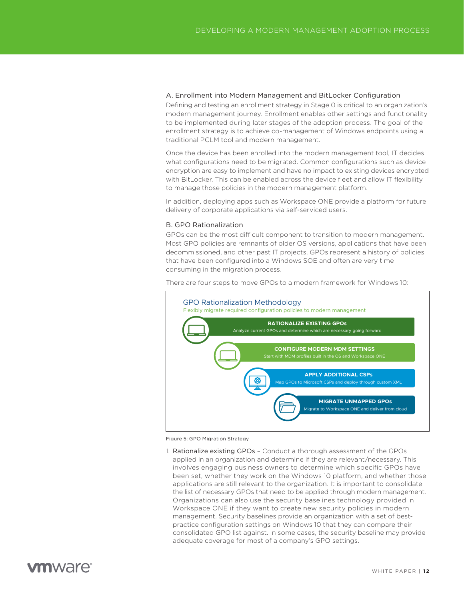#### <span id="page-11-0"></span>A. Enrollment into Modern Management and BitLocker Configuration

Defining and testing an enrollment strategy in Stage 0 is critical to an organization's modern management journey. Enrollment enables other settings and functionality to be implemented during later stages of the adoption process. The goal of the enrollment strategy is to achieve co-management of Windows endpoints using a traditional PCLM tool and modern management.

Once the device has been enrolled into the modern management tool, IT decides what configurations need to be migrated. Common configurations such as device encryption are easy to implement and have no impact to existing devices encrypted with BitLocker. This can be enabled across the device fleet and allow IT flexibility to manage those policies in the modern management platform.

In addition, deploying apps such as Workspace ONE provide a platform for future delivery of corporate applications via self-serviced users.

#### B. GPO Rationalization

GPOs can be the most difficult component to transition to modern management. Most GPO policies are remnants of older OS versions, applications that have been decommissioned, and other past IT projects. GPOs represent a history of policies that have been configured into a Windows SOE and often are very time consuming in the migration process.

There are four steps to move GPOs to a modern framework for Windows 10:



Figure 5: GPO Migration Strategy

1. Rationalize existing GPOs – Conduct a thorough assessment of the GPOs applied in an organization and determine if they are relevant/necessary. This involves engaging business owners to determine which specific GPOs have been set, whether they work on the Windows 10 platform, and whether those applications are still relevant to the organization. It is important to consolidate the list of necessary GPOs that need to be applied through modern management. Organizations can also use the security baselines technology provided in Workspace ONE if they want to create new security policies in modern management. Security baselines provide an organization with a set of bestpractice configuration settings on Windows 10 that they can compare their consolidated GPO list against. In some cases, the security baseline may provide adequate coverage for most of a company's GPO settings.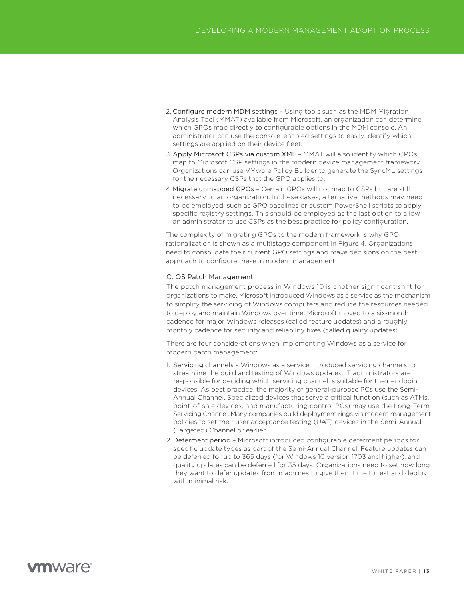- <span id="page-12-0"></span>2. Configure modern MDM settings – Using tools such as the MDM Migration Analysis Tool (MMAT) available from Microsoft, an organization can determine which GPOs map directly to configurable options in the MDM console. An administrator can use the console-enabled settings to easily identify which settings are applied on their device fleet.
- 3. Apply Microsoft CSPs via custom XML MMAT will also identify which GPOs map to Microsoft CSP settings in the modern device management framework. Organizations can use VMware Policy Builder to generate the SyncML settings for the necessary CSPs that the GPO applies to.
- 4.Migrate unmapped GPOs Certain GPOs will not map to CSPs but are still necessary to an organization. In these cases, alternative methods may need to be employed, such as GPO baselines or custom PowerShell scripts to apply specific registry settings. This should be employed as the last option to allow an administrator to use CSPs as the best practice for policy configuration.

The complexity of migrating GPOs to the modern framework is why GPO rationalization is shown as a multistage component in Figure 4. Organizations need to consolidate their current GPO settings and make decisions on the best approach to configure these in modern management.

#### C. OS Patch Management

The patch management process in Windows 10 is another significant shift for organizations to make. Microsoft introduced Windows as a service as the mechanism to simplify the servicing of Windows computers and reduce the resources needed to deploy and maintain Windows over time. Microsoft moved to a six-month cadence for major Windows releases (called feature updates) and a roughly monthly cadence for security and reliability fixes (called quality updates).

There are four considerations when implementing Windows as a service for modern patch management:

- 1. Servicing channels Windows as a service introduced servicing channels to streamline the build and testing of Windows updates. IT administrators are responsible for deciding which servicing channel is suitable for their endpoint devices. As best practice, the majority of general-purpose PCs use the Semi-Annual Channel. Specialized devices that serve a critical function (such as ATMs, point-of-sale devices, and manufacturing control PCs) may use the Long-Term Servicing Channel. Many companies build deployment rings via modern management policies to set their user acceptance testing (UAT) devices in the Semi-Annual (Targeted) Channel or earlier.
- 2. Deferment period Microsoft introduced configurable deferment periods for specific update types as part of the Semi-Annual Channel. Feature updates can be deferred for up to 365 days (for Windows 10 version 1703 and higher), and quality updates can be deferred for 35 days. Organizations need to set how long they want to defer updates from machines to give them time to test and deploy with minimal risk.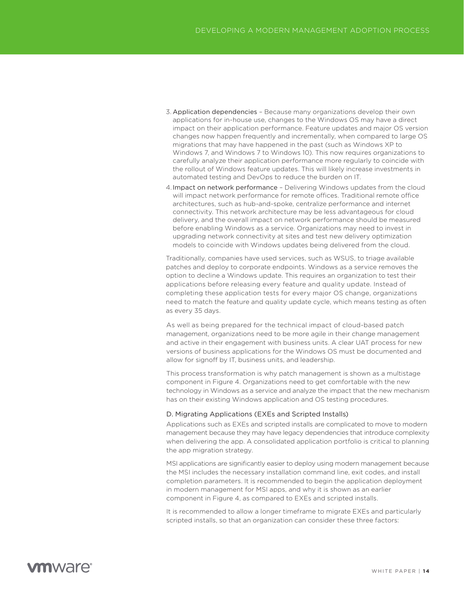- <span id="page-13-0"></span>3. Application dependencies – Because many organizations develop their own applications for in-house use, changes to the Windows OS may have a direct impact on their application performance. Feature updates and major OS version changes now happen frequently and incrementally, when compared to large OS migrations that may have happened in the past (such as Windows XP to Windows 7, and Windows 7 to Windows 10). This now requires organizations to carefully analyze their application performance more regularly to coincide with the rollout of Windows feature updates. This will likely increase investments in automated testing and DevOps to reduce the burden on IT.
- 4.Impact on network performance Delivering Windows updates from the cloud will impact network performance for remote offices. Traditional remote office architectures, such as hub-and-spoke, centralize performance and internet connectivity. This network architecture may be less advantageous for cloud delivery, and the overall impact on network performance should be measured before enabling Windows as a service. Organizations may need to invest in upgrading network connectivity at sites and test new delivery optimization models to coincide with Windows updates being delivered from the cloud.

Traditionally, companies have used services, such as WSUS, to triage available patches and deploy to corporate endpoints. Windows as a service removes the option to decline a Windows update. This requires an organization to test their applications before releasing every feature and quality update. Instead of completing these application tests for every major OS change, organizations need to match the feature and quality update cycle, which means testing as often as every 35 days.

As well as being prepared for the technical impact of cloud-based patch management, organizations need to be more agile in their change management and active in their engagement with business units. A clear UAT process for new versions of business applications for the Windows OS must be documented and allow for signoff by IT, business units, and leadership.

This process transformation is why patch management is shown as a multistage component in Figure 4. Organizations need to get comfortable with the new technology in Windows as a service and analyze the impact that the new mechanism has on their existing Windows application and OS testing procedures.

#### D. Migrating Applications (EXEs and Scripted Installs)

Applications such as EXEs and scripted installs are complicated to move to modern management because they may have legacy dependencies that introduce complexity when delivering the app. A consolidated application portfolio is critical to planning the app migration strategy.

MSI applications are significantly easier to deploy using modern management because the MSI includes the necessary installation command line, exit codes, and install completion parameters. It is recommended to begin the application deployment in modern management for MSI apps, and why it is shown as an earlier component in Figure 4, as compared to EXEs and scripted installs.

It is recommended to allow a longer timeframe to migrate EXEs and particularly scripted installs, so that an organization can consider these three factors: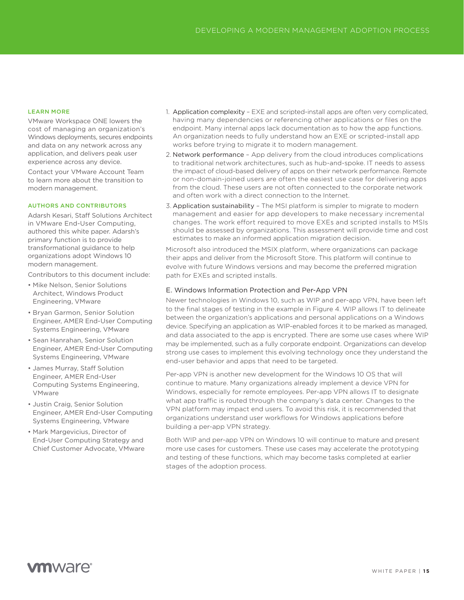#### <span id="page-14-0"></span>LEARN MORE

VMware Workspace ONE lowers the cost of managing an organization's Windows deployments, secures endpoints and data on any network across any application, and delivers peak user experience across any device.

Contact your VMware Account Team to learn more about the transition to modern management.

#### AUTHORS AND CONTRIBUTORS

Adarsh Kesari, Staff Solutions Architect in VMware End-User Computing, authored this white paper. Adarsh's primary function is to provide transformational guidance to help organizations adopt Windows 10 modern management.

Contributors to this document include:

- Mike Nelson, Senior Solutions Architect, Windows Product Engineering, VMware
- Bryan Garmon, Senior Solution Engineer, AMER End-User Computing Systems Engineering, VMware
- Sean Hanrahan, Senior Solution Engineer, AMER End-User Computing Systems Engineering, VMware
- James Murray, Staff Solution Engineer, AMER End-User Computing Systems Engineering, VMware
- Justin Craig, Senior Solution Engineer, AMER End-User Computing Systems Engineering, VMware
- Mark Margevicius, Director of End-User Computing Strategy and Chief Customer Advocate, VMware
- 1. Application complexity EXE and scripted-install apps are often very complicated, having many dependencies or referencing other applications or files on the endpoint. Many internal apps lack documentation as to how the app functions. An organization needs to fully understand how an EXE or scripted-install app works before trying to migrate it to modern management.
- 2. Network performance App delivery from the cloud introduces complications to traditional network architectures, such as hub-and-spoke. IT needs to assess the impact of cloud-based delivery of apps on their network performance. Remote or non-domain-joined users are often the easiest use case for delivering apps from the cloud. These users are not often connected to the corporate network and often work with a direct connection to the Internet.
- 3. Application sustainability The MSI platform is simpler to migrate to modern management and easier for app developers to make necessary incremental changes. The work effort required to move EXEs and scripted installs to MSIs should be assessed by organizations. This assessment will provide time and cost estimates to make an informed application migration decision.

Microsoft also introduced the MSIX platform, where organizations can package their apps and deliver from the Microsoft Store. This platform will continue to evolve with future Windows versions and may become the preferred migration path for EXEs and scripted installs.

#### E. Windows Information Protection and Per-App VPN

Newer technologies in Windows 10, such as WIP and per-app VPN, have been left to the final stages of testing in the example in Figure 4. WIP allows IT to delineate between the organization's applications and personal applications on a Windows device. Specifying an application as WIP-enabled forces it to be marked as managed, and data associated to the app is encrypted. There are some use cases where WIP may be implemented, such as a fully corporate endpoint. Organizations can develop strong use cases to implement this evolving technology once they understand the end-user behavior and apps that need to be targeted.

Per-app VPN is another new development for the Windows 10 OS that will continue to mature. Many organizations already implement a device VPN for Windows, especially for remote employees. Per-app VPN allows IT to designate what app traffic is routed through the company's data center. Changes to the VPN platform may impact end users. To avoid this risk, it is recommended that organizations understand user workflows for Windows applications before building a per-app VPN strategy.

Both WIP and per-app VPN on Windows 10 will continue to mature and present more use cases for customers. These use cases may accelerate the prototyping and testing of these functions, which may become tasks completed at earlier stages of the adoption process.